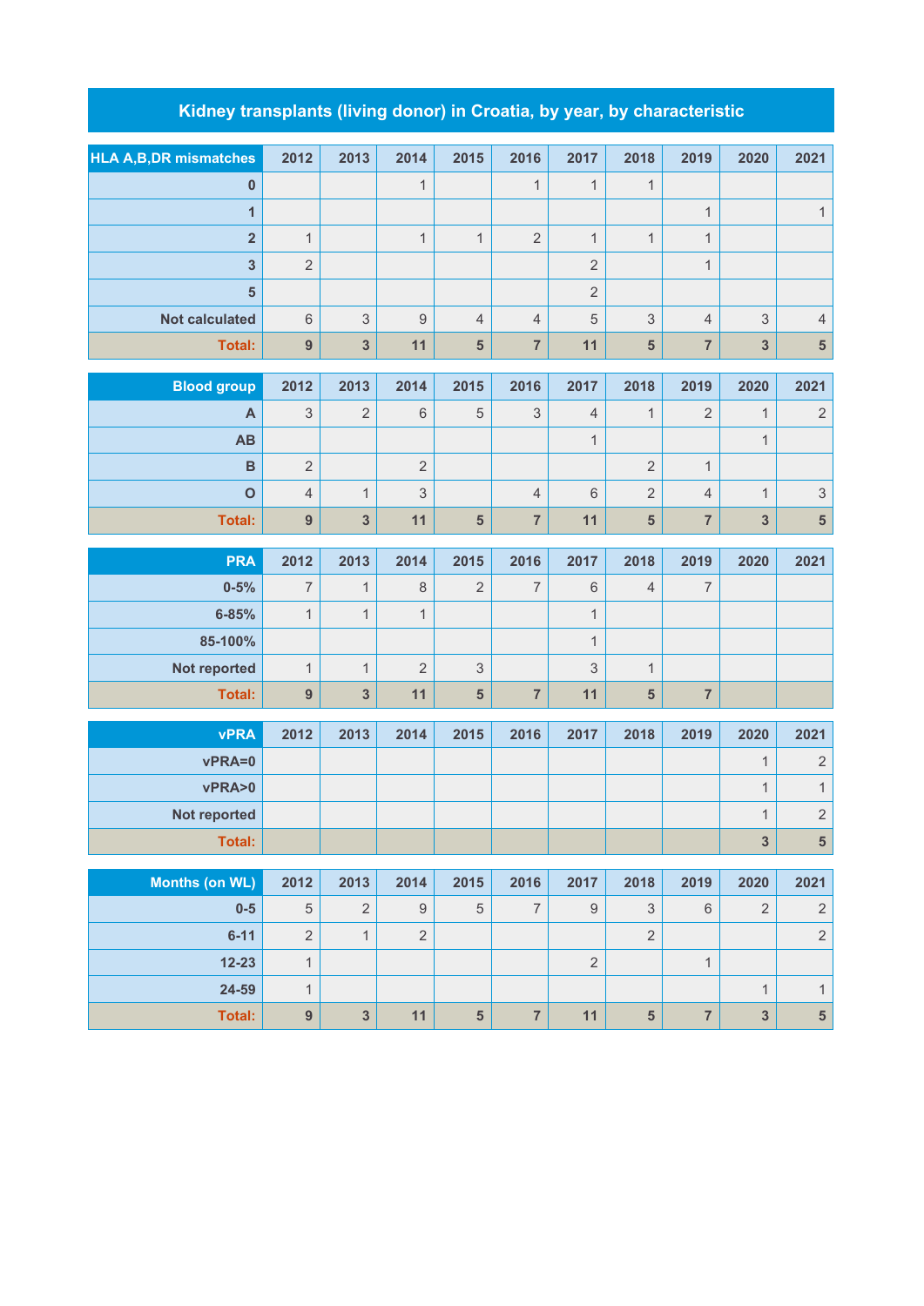## **Kidney transplants (living donor) in Croatia, by year, by characteristic**

| <b>HLA A,B,DR mismatches</b> | 2012             | 2013                    | 2014             | 2015                    | 2016           | 2017                      | 2018                    | 2019                    | 2020                    | 2021                             |
|------------------------------|------------------|-------------------------|------------------|-------------------------|----------------|---------------------------|-------------------------|-------------------------|-------------------------|----------------------------------|
| $\boldsymbol{0}$             |                  |                         | $\mathbf{1}$     |                         | $\mathbf{1}$   | $\mathbf{1}$              | $\mathbf{1}$            |                         |                         |                                  |
| $\mathbf{1}$                 |                  |                         |                  |                         |                |                           |                         | $\mathbf 1$             |                         | $\mathbf{1}$                     |
| $\overline{\mathbf{2}}$      | $\mathbf{1}$     |                         | $\mathbf{1}$     | $\mathbf{1}$            | $\overline{2}$ | $\mathbf{1}$              | $\mathbf{1}$            | $\mathbf{1}$            |                         |                                  |
| $\overline{\mathbf{3}}$      | $\overline{2}$   |                         |                  |                         |                | $\overline{2}$            |                         | $\mathbf 1$             |                         |                                  |
| $5\phantom{1}$               |                  |                         |                  |                         |                | $\overline{2}$            |                         |                         |                         |                                  |
| <b>Not calculated</b>        | $6\phantom{1}$   | $\mathfrak{S}$          | $\mathsf g$      | $\overline{4}$          | $\overline{4}$ | $\overline{5}$            | $\mathfrak{S}$          | $\overline{4}$          | 3                       | $\sqrt{4}$                       |
| Total:                       | $\boldsymbol{9}$ | $\overline{\mathbf{3}}$ | 11               | $\overline{\mathbf{5}}$ | $\overline{7}$ | 11                        | $\overline{5}$          | $\overline{7}$          | $\overline{\mathbf{3}}$ | $\overline{\mathbf{5}}$          |
| <b>Blood group</b>           | 2012             | 2013                    | 2014             | 2015                    | 2016           | 2017                      | 2018                    | 2019                    | 2020                    | 2021                             |
| A                            | 3                | $\overline{2}$          | $\,6\,$          | $\overline{5}$          | 3              | $\overline{4}$            | $\mathbf{1}$            | $\overline{2}$          | $\mathbf{1}$            | $\sqrt{2}$                       |
| AB                           |                  |                         |                  |                         |                | $\mathbf{1}$              |                         |                         | $\mathbf{1}$            |                                  |
| $\, {\bf B}$                 | $\sqrt{2}$       |                         | $\overline{2}$   |                         |                |                           | $\sqrt{2}$              | $\mathbf{1}$            |                         |                                  |
| $\mathbf 0$                  | $\overline{4}$   | $\mathbf{1}$            | $\mathfrak{S}$   |                         | $\overline{4}$ | 6                         | $\sqrt{2}$              | $\overline{4}$          | $\mathbf{1}$            | $\ensuremath{\mathsf{3}}$        |
| Total:                       | $\boldsymbol{9}$ | $\overline{\mathbf{3}}$ | 11               | 5                       | $\overline{7}$ | 11                        | $\overline{\mathbf{5}}$ | $\overline{\mathbf{7}}$ | $\overline{\mathbf{3}}$ | $\overline{\mathbf{5}}$          |
|                              |                  |                         |                  |                         |                |                           |                         |                         |                         |                                  |
| <b>PRA</b>                   | 2012             | 2013                    | 2014             | 2015                    | 2016           | 2017                      | 2018                    | 2019                    | 2020                    | 2021                             |
| $0 - 5%$                     | $\overline{7}$   | $\mathbf{1}$            | $\,8\,$          | $\overline{2}$          | 7              | $\,$ 6 $\,$               | $\overline{4}$          | $\overline{7}$          |                         |                                  |
| $6 - 85%$                    | $\mathbf{1}$     | $\mathbf{1}$            | $\mathbf{1}$     |                         |                | $\mathbf{1}$              |                         |                         |                         |                                  |
| 85-100%                      |                  |                         |                  |                         |                | $\mathbf{1}$              |                         |                         |                         |                                  |
| Not reported                 | $\mathbf{1}$     | $\mathbf{1}$            | $\overline{2}$   | 3                       |                | $\ensuremath{\mathsf{3}}$ | $\mathbf{1}$            |                         |                         |                                  |
| Total:                       | $\boldsymbol{9}$ | $\mathbf{3}$            | 11               | $5\phantom{.}$          | $\overline{7}$ | 11                        | $\sqrt{5}$              | $\overline{\mathbf{7}}$ |                         |                                  |
| <b>vPRA</b>                  | 2012             | 2013                    | 2014             | 2015                    | 2016           | 2017                      | 2018                    | 2019                    | 2020                    | 2021                             |
| vPRA=0                       |                  |                         |                  |                         |                |                           |                         |                         | $\mathbf{1}$            | $\sqrt{2}$                       |
| vPRA>0                       |                  |                         |                  |                         |                |                           |                         |                         | $\mathbf 1$             | $\mathbf{1}$                     |
| Not reported                 |                  |                         |                  |                         |                |                           |                         |                         | 1                       | $\sqrt{2}$                       |
| Total:                       |                  |                         |                  |                         |                |                           |                         |                         | $\mathbf{3}$            | ${\bf 5}$                        |
| <b>Months (on WL)</b>        | 2012             | 2013                    | 2014             | 2015                    | 2016           | 2017                      | 2018                    | 2019                    | 2020                    | 2021                             |
| $0-5$                        | $\sqrt{5}$       | $\sqrt{2}$              | $\boldsymbol{9}$ | $\sqrt{5}$              | $\overline{7}$ | $\boldsymbol{9}$          | $\mathfrak{S}$          | $\,6\,$                 | $\overline{2}$          | $\sqrt{2}$                       |
| $6 - 11$                     | $\overline{2}$   | $\mathbf{1}$            | $\overline{2}$   |                         |                |                           | $\overline{2}$          |                         |                         | $\sqrt{2}$                       |
| $12 - 23$                    | $\overline{1}$   |                         |                  |                         |                | $\overline{2}$            |                         | $\mathbf{1}$            |                         |                                  |
| 24-59                        | $\mathbf{1}$     |                         |                  |                         |                |                           |                         |                         | $\mathbf{1}$            | $\mathbf{1}$                     |
| Total:                       | $\boldsymbol{9}$ | $\mathbf{3}$            | 11               | $\overline{5}$          | $\overline{7}$ | 11                        | ${\bf 5}$               | $\overline{7}$          | $\overline{\mathbf{3}}$ | $\begin{array}{c} 5 \end{array}$ |